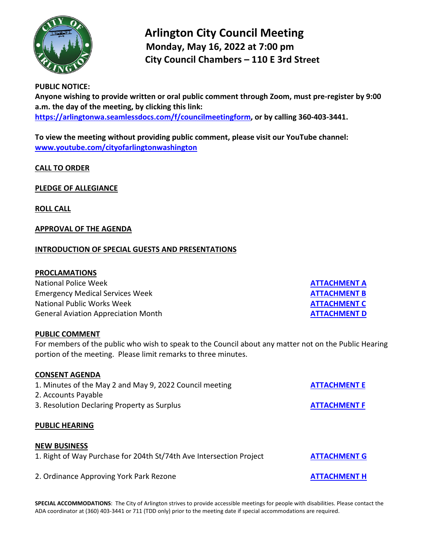

# **Arlington City Council Meeting Monday, May 16, 2022 at 7:00 pm City Council Chambers – 110 E 3rd Street**

## **PUBLIC NOTICE:**

**Anyone wishing to provide written or oral public comment through Zoom, must pre-register by 9:00 a.m. the day of the meeting, by clicking this link: [https://arlingtonwa.seamlessdocs.com/f/councilmeetingform,](https://arlingtonwa.seamlessdocs.com/f/councilmeetingform) or by calling 360-403-3441.**

**To view the meeting without providing public comment, please visit our YouTube channel: [www.youtube.com/cityofarlingtonwashington](http://www.youtube.com/cityofarlingtonwashington)**

# **CALL TO ORDER**

# **PLEDGE OF ALLEGIANCE**

**ROLL CALL**

## **APPROVAL OF THE AGENDA**

## **INTRODUCTION OF SPECIAL GUESTS AND PRESENTATIONS**

#### **PROCLAMATIONS**

**National Police Week Emergency Medical Services Week National Public Works Week General Aviation Appreciation Month** 

#### **PUBLIC COMMENT**

For members of the public who wish to speak to the Council about any matter not on the Public Hearing portion of the meeting. Please limit remarks to three minutes.

#### **CONSENT AGENDA**

| 1. Minutes of the May 2 and May 9, 2022 Council meeting             | <b>ATTACHMENT E</b> |
|---------------------------------------------------------------------|---------------------|
| 2. Accounts Payable                                                 |                     |
| 3. Resolution Declaring Property as Surplus                         | <b>ATTACHMENT F</b> |
| <b>PUBLIC HEARING</b>                                               |                     |
| <b>NEW BUSINESS</b>                                                 |                     |
| 1. Right of Way Purchase for 204th St/74th Ave Intersection Project | <b>ATTACHMENT G</b> |
| 2. Ordinance Approving York Park Rezone                             | <b>ATTACHMENT H</b> |

**SPECIAL ACCOMMODATIONS**: The City of Arlington strives to provide accessible meetings for people with disabilities. Please contact the ADA coordinator at (360) 403-3441 or 711 (TDD only) prior to the meeting date if special accommodations are required.

| <b>ATTACHMENT A</b> |  |
|---------------------|--|
| <b>ATTACHMENT B</b> |  |
| <b>ATTACHMENT C</b> |  |
| <b>ATTACHMENT D</b> |  |